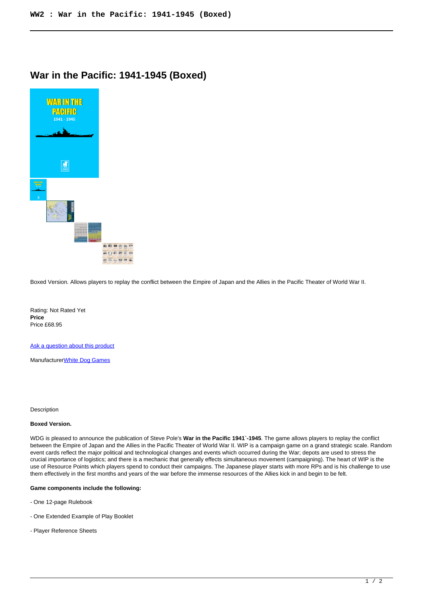## **War in the Pacific: 1941-1945 (Boxed)**



Boxed Version. Allows players to replay the conflict between the Empire of Japan and the Allies in the Pacific Theater of World War II.

Rating: Not Rated Yet **Price**  Price £68.95

[Ask a question about this product](https://www.secondchancegames.com/index.php?option=com_virtuemart&view=productdetails&task=askquestion&virtuemart_product_id=10959&virtuemart_category_id=5&tmpl=component)

Manufacturer[White Dog Games](https://www.secondchancegames.com/index.php?option=com_virtuemart&view=manufacturer&virtuemart_manufacturer_id=3059&tmpl=component)

**Description** 

## **Boxed Version.**

WDG is pleased to announce the publication of Steve Pole's **War in the Pacific 1941`-1945**. The game allows players to replay the conflict between the Empire of Japan and the Allies in the Pacific Theater of World War II. WIP is a campaign game on a grand strategic scale. Random event cards reflect the major political and technological changes and events which occurred during the War; depots are used to stress the crucial importance of logistics; and there is a mechanic that generally effects simultaneous movement (campaigning). The heart of WIP is the use of Resource Points which players spend to conduct their campaigns. The Japanese player starts with more RPs and is his challenge to use them effectively in the first months and years of the war before the immense resources of the Allies kick in and begin to be felt.

## **Game components include the following:**

- One 12-page Rulebook
- One Extended Example of Play Booklet
- Player Reference Sheets